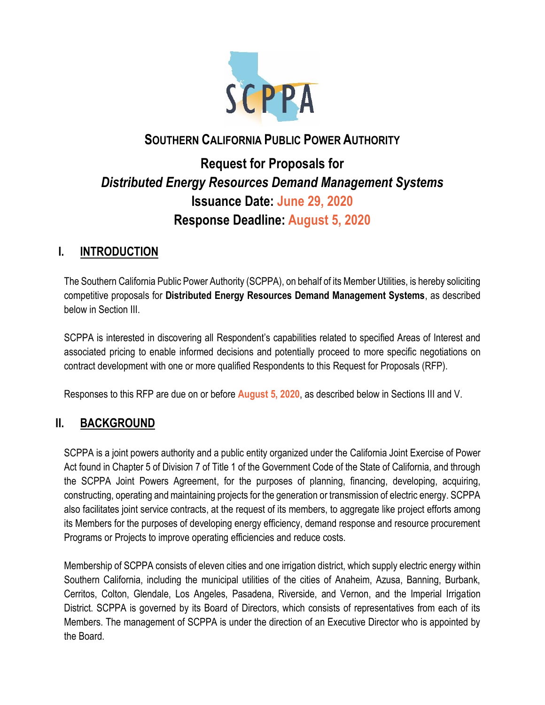

# **SOUTHERN CALIFORNIA PUBLIC POWER AUTHORITY**

# **Request for Proposals for**  *Distributed Energy Resources Demand Management Systems* **Issuance Date: June 29, 2020 Response Deadline: August 5, 2020**

# **I. INTRODUCTION**

The Southern California Public Power Authority (SCPPA), on behalf of its Member Utilities, is hereby soliciting competitive proposals for **Distributed Energy Resources Demand Management Systems**, as described below in Section III.

SCPPA is interested in discovering all Respondent's capabilities related to specified Areas of Interest and associated pricing to enable informed decisions and potentially proceed to more specific negotiations on contract development with one or more qualified Respondents to this Request for Proposals (RFP).

Responses to this RFP are due on or before **August 5, 2020**, as described below in Sections III and V.

# **II. BACKGROUND**

SCPPA is a joint powers authority and a public entity organized under the California Joint Exercise of Power Act found in Chapter 5 of Division 7 of Title 1 of the Government Code of the State of California, and through the SCPPA Joint Powers Agreement, for the purposes of planning, financing, developing, acquiring, constructing, operating and maintaining projects for the generation or transmission of electric energy. SCPPA also facilitates joint service contracts, at the request of its members, to aggregate like project efforts among its Members for the purposes of developing energy efficiency, demand response and resource procurement Programs or Projects to improve operating efficiencies and reduce costs.

Membership of SCPPA consists of eleven cities and one irrigation district, which supply electric energy within Southern California, including the municipal utilities of the cities of Anaheim, Azusa, Banning, Burbank, Cerritos, Colton, Glendale, Los Angeles, Pasadena, Riverside, and Vernon, and the Imperial Irrigation District. SCPPA is governed by its Board of Directors, which consists of representatives from each of its Members. The management of SCPPA is under the direction of an Executive Director who is appointed by the Board.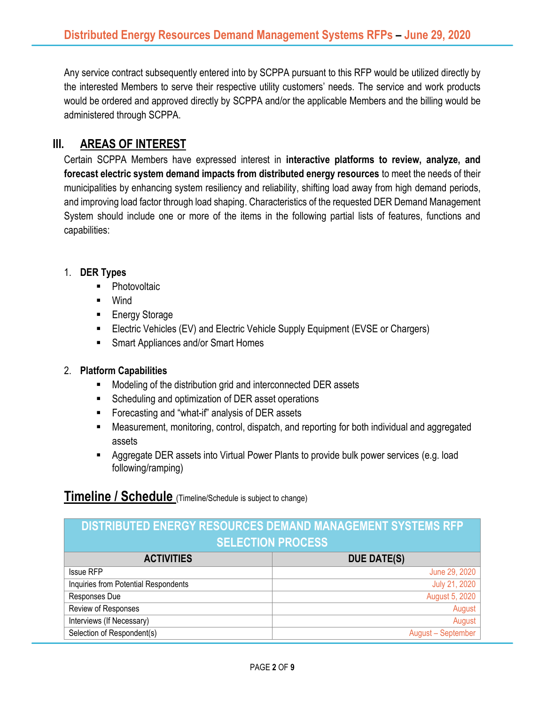Any service contract subsequently entered into by SCPPA pursuant to this RFP would be utilized directly by the interested Members to serve their respective utility customers' needs. The service and work products would be ordered and approved directly by SCPPA and/or the applicable Members and the billing would be administered through SCPPA.

# **III. AREAS OF INTEREST**

Certain SCPPA Members have expressed interest in **interactive platforms to review, analyze, and forecast electric system demand impacts from distributed energy resources** to meet the needs of their municipalities by enhancing system resiliency and reliability, shifting load away from high demand periods, and improving load factor through load shaping. Characteristics of the requested DER Demand Management System should include one or more of the items in the following partial lists of features, functions and capabilities:

### 1. **DER Types**

- Photovoltaic
- Wind
- Energy Storage
- Electric Vehicles (EV) and Electric Vehicle Supply Equipment (EVSE or Chargers)
- Smart Appliances and/or Smart Homes

#### 2. **Platform Capabilities**

- Modeling of the distribution grid and interconnected DER assets
- Scheduling and optimization of DER asset operations
- Forecasting and "what-if" analysis of DER assets
- Measurement, monitoring, control, dispatch, and reporting for both individual and aggregated assets
- Aggregate DER assets into Virtual Power Plants to provide bulk power services (e.g. load following/ramping)

# **Timeline / Schedule** (Timeline/Schedule is subject to change)

| DISTRIBUTED ENERGY RESOURCES DEMAND MANAGEMENT SYSTEMS RFP |                    |
|------------------------------------------------------------|--------------------|
| <b>SELECTION PROCESS</b>                                   |                    |
| <b>ACTIVITIES</b>                                          | <b>DUE DATE(S)</b> |
| <b>Issue RFP</b>                                           | June 29, 2020      |
| Inquiries from Potential Respondents                       | July 21, 2020      |
| Responses Due                                              | August 5, 2020     |
| Review of Responses                                        | August             |
| Interviews (If Necessary)                                  | August             |
| Selection of Respondent(s)                                 | August - September |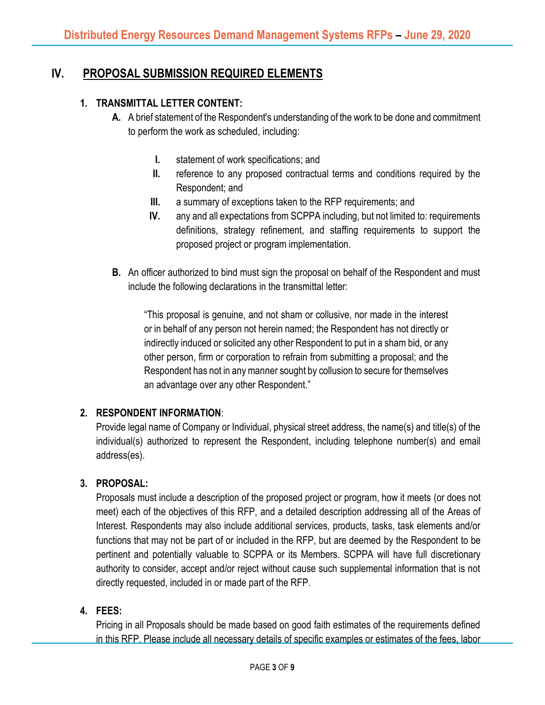# **IV. PROPOSAL SUBMISSION REQUIRED ELEMENTS**

### **1. TRANSMITTAL LETTER CONTENT:**

- **A.** A brief statement of the Respondent's understanding of the work to be done and commitment to perform the work as scheduled, including:
	- **I.** statement of work specifications; and
	- **II.** reference to any proposed contractual terms and conditions required by the Respondent; and
	- **III.** a summary of exceptions taken to the RFP requirements; and
	- **IV.** any and all expectations from SCPPA including, but not limited to: requirements definitions, strategy refinement, and staffing requirements to support the proposed project or program implementation.
- **B.** An officer authorized to bind must sign the proposal on behalf of the Respondent and must include the following declarations in the transmittal letter:

"This proposal is genuine, and not sham or collusive, nor made in the interest or in behalf of any person not herein named; the Respondent has not directly or indirectly induced or solicited any other Respondent to put in a sham bid, or any other person, firm or corporation to refrain from submitting a proposal; and the Respondent has not in any manner sought by collusion to secure for themselves an advantage over any other Respondent."

### **2. RESPONDENT INFORMATION**:

Provide legal name of Company or Individual, physical street address, the name(s) and title(s) of the individual(s) authorized to represent the Respondent, including telephone number(s) and email address(es).

### **3. PROPOSAL:**

Proposals must include a description of the proposed project or program, how it meets (or does not meet) each of the objectives of this RFP, and a detailed description addressing all of the Areas of Interest. Respondents may also include additional services, products, tasks, task elements and/or functions that may not be part of or included in the RFP, but are deemed by the Respondent to be pertinent and potentially valuable to SCPPA or its Members. SCPPA will have full discretionary authority to consider, accept and/or reject without cause such supplemental information that is not directly requested, included in or made part of the RFP.

### **4. FEES:**

Pricing in all Proposals should be made based on good faith estimates of the requirements defined in this RFP. Please include all necessary details of specific examples or estimates of the fees, labor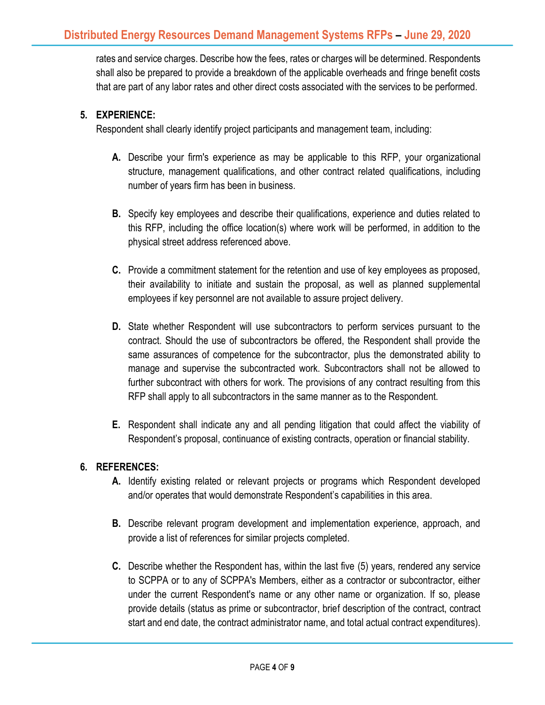rates and service charges. Describe how the fees, rates or charges will be determined. Respondents shall also be prepared to provide a breakdown of the applicable overheads and fringe benefit costs that are part of any labor rates and other direct costs associated with the services to be performed.

### **5. EXPERIENCE:**

Respondent shall clearly identify project participants and management team, including:

- **A.** Describe your firm's experience as may be applicable to this RFP, your organizational structure, management qualifications, and other contract related qualifications, including number of years firm has been in business.
- **B.** Specify key employees and describe their qualifications, experience and duties related to this RFP, including the office location(s) where work will be performed, in addition to the physical street address referenced above.
- **C.** Provide a commitment statement for the retention and use of key employees as proposed, their availability to initiate and sustain the proposal, as well as planned supplemental employees if key personnel are not available to assure project delivery.
- **D.** State whether Respondent will use subcontractors to perform services pursuant to the contract. Should the use of subcontractors be offered, the Respondent shall provide the same assurances of competence for the subcontractor, plus the demonstrated ability to manage and supervise the subcontracted work. Subcontractors shall not be allowed to further subcontract with others for work. The provisions of any contract resulting from this RFP shall apply to all subcontractors in the same manner as to the Respondent.
- **E.** Respondent shall indicate any and all pending litigation that could affect the viability of Respondent's proposal, continuance of existing contracts, operation or financial stability.

### **6. REFERENCES:**

- **A.** Identify existing related or relevant projects or programs which Respondent developed and/or operates that would demonstrate Respondent's capabilities in this area.
- **B.** Describe relevant program development and implementation experience, approach, and provide a list of references for similar projects completed.
- **C.** Describe whether the Respondent has, within the last five (5) years, rendered any service to SCPPA or to any of SCPPA's Members, either as a contractor or subcontractor, either under the current Respondent's name or any other name or organization. If so, please provide details (status as prime or subcontractor, brief description of the contract, contract start and end date, the contract administrator name, and total actual contract expenditures).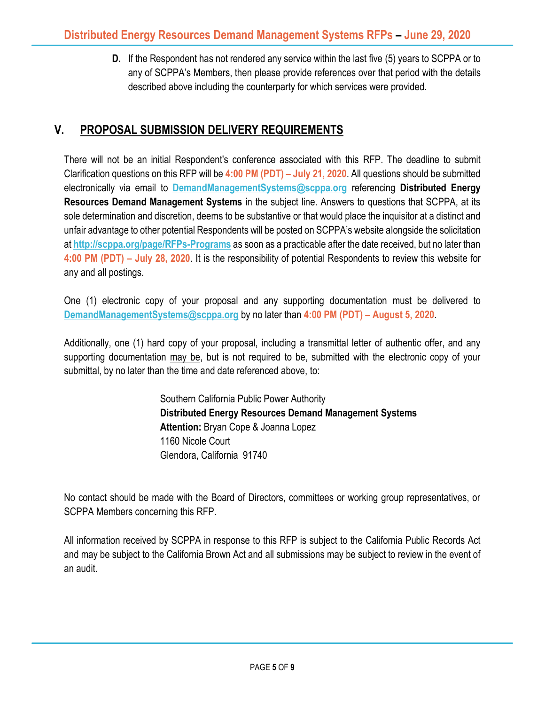**D.** If the Respondent has not rendered any service within the last five (5) years to SCPPA or to any of SCPPA's Members, then please provide references over that period with the details described above including the counterparty for which services were provided.

# **V. PROPOSAL SUBMISSION DELIVERY REQUIREMENTS**

There will not be an initial Respondent's conference associated with this RFP. The deadline to submit Clarification questions on this RFP will be **4:00 PM (PDT) – July 21, 2020**. All questions should be submitted electronically via email to **[DemandManagementSystems@scppa.org](mailto:DemandManagementSystems@scppa.org)** referencing **Distributed Energy Resources Demand Management Systems** in the subject line. Answers to questions that SCPPA, at its sole determination and discretion, deems to be substantive or that would place the inquisitor at a distinct and unfair advantage to other potential Respondents will be posted on SCPPA's website alongside the solicitation at **<http://scppa.org/page/RFPs-Programs>** as soon as a practicable after the date received, but no later than **4:00 PM (PDT) – July 28, 2020**. It is the responsibility of potential Respondents to review this website for any and all postings.

One (1) electronic copy of your proposal and any supporting documentation must be delivered to **[DemandManagementSystems@scppa.org](mailto:DemandManagementSystems@scppa.org)** by no later than **4:00 PM (PDT) – August 5, 2020**.

Additionally, one (1) hard copy of your proposal, including a transmittal letter of authentic offer, and any supporting documentation may be, but is not required to be, submitted with the electronic copy of your submittal, by no later than the time and date referenced above, to:

> Southern California Public Power Authority **Distributed Energy Resources Demand Management Systems Attention:** Bryan Cope & Joanna Lopez 1160 Nicole Court Glendora, California 91740

No contact should be made with the Board of Directors, committees or working group representatives, or SCPPA Members concerning this RFP.

All information received by SCPPA in response to this RFP is subject to the California Public Records Act and may be subject to the California Brown Act and all submissions may be subject to review in the event of an audit.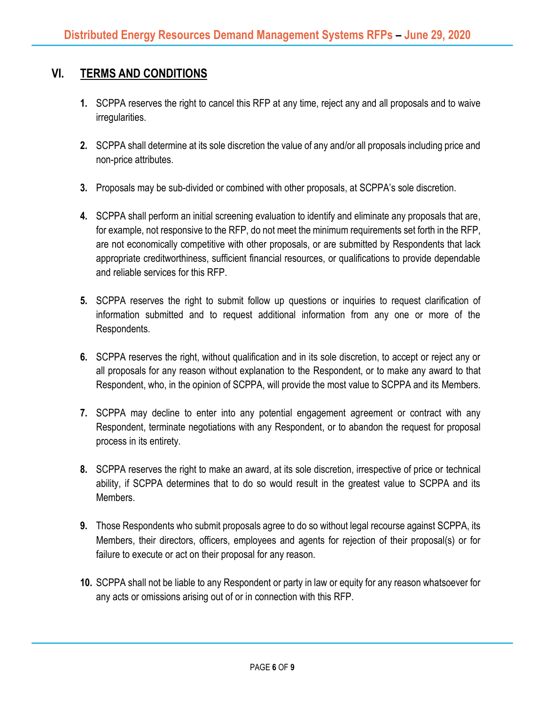## **VI. TERMS AND CONDITIONS**

- **1.** SCPPA reserves the right to cancel this RFP at any time, reject any and all proposals and to waive irregularities.
- **2.** SCPPA shall determine at its sole discretion the value of any and/or all proposals including price and non-price attributes.
- **3.** Proposals may be sub-divided or combined with other proposals, at SCPPA's sole discretion.
- **4.** SCPPA shall perform an initial screening evaluation to identify and eliminate any proposals that are, for example, not responsive to the RFP, do not meet the minimum requirements set forth in the RFP, are not economically competitive with other proposals, or are submitted by Respondents that lack appropriate creditworthiness, sufficient financial resources, or qualifications to provide dependable and reliable services for this RFP.
- **5.** SCPPA reserves the right to submit follow up questions or inquiries to request clarification of information submitted and to request additional information from any one or more of the Respondents.
- **6.** SCPPA reserves the right, without qualification and in its sole discretion, to accept or reject any or all proposals for any reason without explanation to the Respondent, or to make any award to that Respondent, who, in the opinion of SCPPA, will provide the most value to SCPPA and its Members.
- **7.** SCPPA may decline to enter into any potential engagement agreement or contract with any Respondent, terminate negotiations with any Respondent, or to abandon the request for proposal process in its entirety.
- **8.** SCPPA reserves the right to make an award, at its sole discretion, irrespective of price or technical ability, if SCPPA determines that to do so would result in the greatest value to SCPPA and its Members.
- **9.** Those Respondents who submit proposals agree to do so without legal recourse against SCPPA, its Members, their directors, officers, employees and agents for rejection of their proposal(s) or for failure to execute or act on their proposal for any reason.
- **10.** SCPPA shall not be liable to any Respondent or party in law or equity for any reason whatsoever for any acts or omissions arising out of or in connection with this RFP.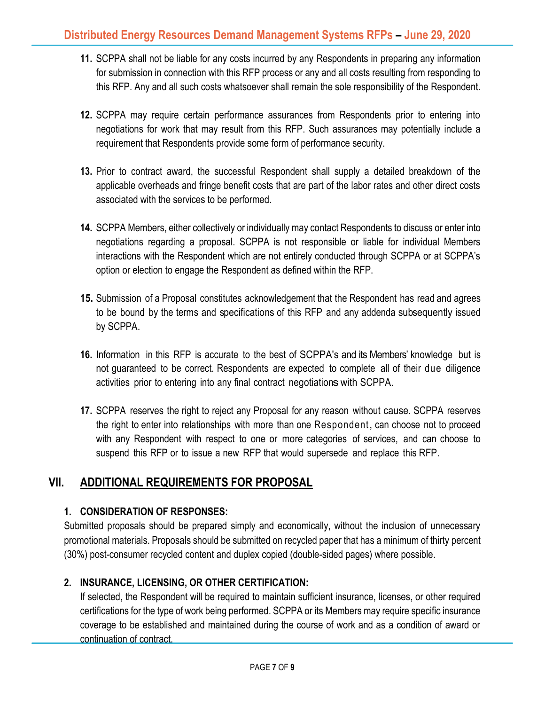- **11.** SCPPA shall not be liable for any costs incurred by any Respondents in preparing any information for submission in connection with this RFP process or any and all costs resulting from responding to this RFP. Any and all such costs whatsoever shall remain the sole responsibility of the Respondent.
- **12.** SCPPA may require certain performance assurances from Respondents prior to entering into negotiations for work that may result from this RFP. Such assurances may potentially include a requirement that Respondents provide some form of performance security.
- **13.** Prior to contract award, the successful Respondent shall supply a detailed breakdown of the applicable overheads and fringe benefit costs that are part of the labor rates and other direct costs associated with the services to be performed.
- **14.** SCPPA Members, either collectively or individually may contact Respondents to discuss or enter into negotiations regarding a proposal. SCPPA is not responsible or liable for individual Members interactions with the Respondent which are not entirely conducted through SCPPA or at SCPPA's option or election to engage the Respondent as defined within the RFP.
- **15.** Submission of a Proposal constitutes acknowledgement that the Respondent has read and agrees to be bound by the terms and specifications of this RFP and any addenda subsequently issued by SCPPA.
- **16.** Information in this RFP is accurate to the best of SCPPA's and its Members' knowledge but is not guaranteed to be correct. Respondents are expected to complete all of their due diligence activities prior to entering into any final contract negotiationswith SCPPA.
- **17.** SCPPA reserves the right to reject any Proposal for any reason without cause. SCPPA reserves the right to enter into relationships with more than one Respondent, can choose not to proceed with any Respondent with respect to one or more categories of services, and can choose to suspend this RFP or to issue a new RFP that would supersede and replace this RFP.

# **VII. ADDITIONAL REQUIREMENTS FOR PROPOSAL**

### **1. CONSIDERATION OF RESPONSES:**

Submitted proposals should be prepared simply and economically, without the inclusion of unnecessary promotional materials. Proposals should be submitted on recycled paper that has a minimum of thirty percent (30%) post-consumer recycled content and duplex copied (double-sided pages) where possible.

### **2. INSURANCE, LICENSING, OR OTHER CERTIFICATION:**

If selected, the Respondent will be required to maintain sufficient insurance, licenses, or other required certifications for the type of work being performed. SCPPA or its Members may require specific insurance coverage to be established and maintained during the course of work and as a condition of award or continuation of contract.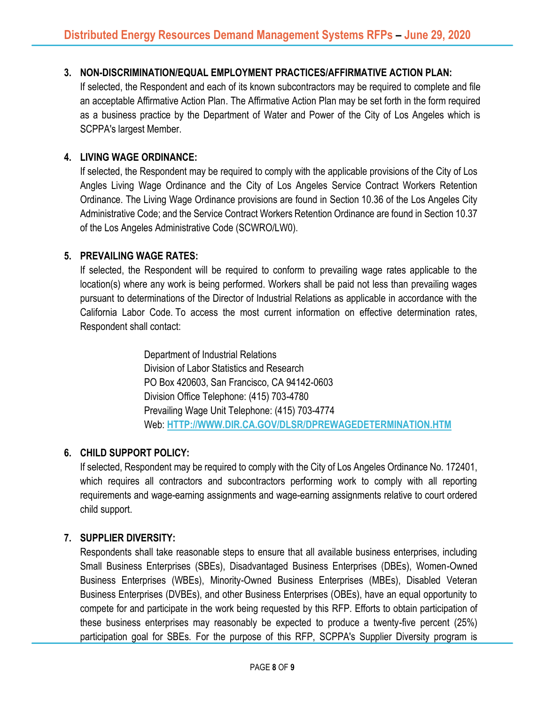### **3. NON-DISCRIMINATION/EQUAL EMPLOYMENT PRACTICES/AFFIRMATIVE ACTION PLAN:**

If selected, the Respondent and each of its known subcontractors may be required to complete and file an acceptable Affirmative Action Plan. The Affirmative Action Plan may be set forth in the form required as a business practice by the Department of Water and Power of the City of Los Angeles which is SCPPA's largest Member.

#### **4. LIVING WAGE ORDINANCE:**

If selected, the Respondent may be required to comply with the applicable provisions of the City of Los Angles Living Wage Ordinance and the City of Los Angeles Service Contract Workers Retention Ordinance. The Living Wage Ordinance provisions are found in Section 10.36 of the Los Angeles City Administrative Code; and the Service Contract Workers Retention Ordinance are found in Section 10.37 of the Los Angeles Administrative Code (SCWRO/LW0).

#### **5. PREVAILING WAGE RATES:**

If selected, the Respondent will be required to conform to prevailing wage rates applicable to the location(s) where any work is being performed. Workers shall be paid not less than prevailing wages pursuant to determinations of the Director of Industrial Relations as applicable in accordance with the California Labor Code. To access the most current information on effective determination rates, Respondent shall contact:

> Department of Industrial Relations Division of Labor Statistics and Research PO Box 420603, San Francisco, CA 94142-0603 Division Office Telephone: (415) 703-4780 Prevailing Wage Unit Telephone: (415) 703-4774 Web: **[HTTP://WWW.DIR.CA.GOV/DLSR/DPREWAGEDETERMINATION.HTM](http://www.dir.ca.gov/dlsr/DPreWageDetermination.htm)**

#### **6. CHILD SUPPORT POLICY:**

If selected, Respondent may be required to comply with the City of Los Angeles Ordinance No. 172401, which requires all contractors and subcontractors performing work to comply with all reporting requirements and wage-earning assignments and wage-earning assignments relative to court ordered child support.

#### **7. SUPPLIER DIVERSITY:**

Respondents shall take reasonable steps to ensure that all available business enterprises, including Small Business Enterprises (SBEs), Disadvantaged Business Enterprises (DBEs), Women-Owned Business Enterprises (WBEs), Minority-Owned Business Enterprises (MBEs), Disabled Veteran Business Enterprises (DVBEs), and other Business Enterprises (OBEs), have an equal opportunity to compete for and participate in the work being requested by this RFP. Efforts to obtain participation of these business enterprises may reasonably be expected to produce a twenty-five percent (25%) participation goal for SBEs. For the purpose of this RFP, SCPPA's Supplier Diversity program is